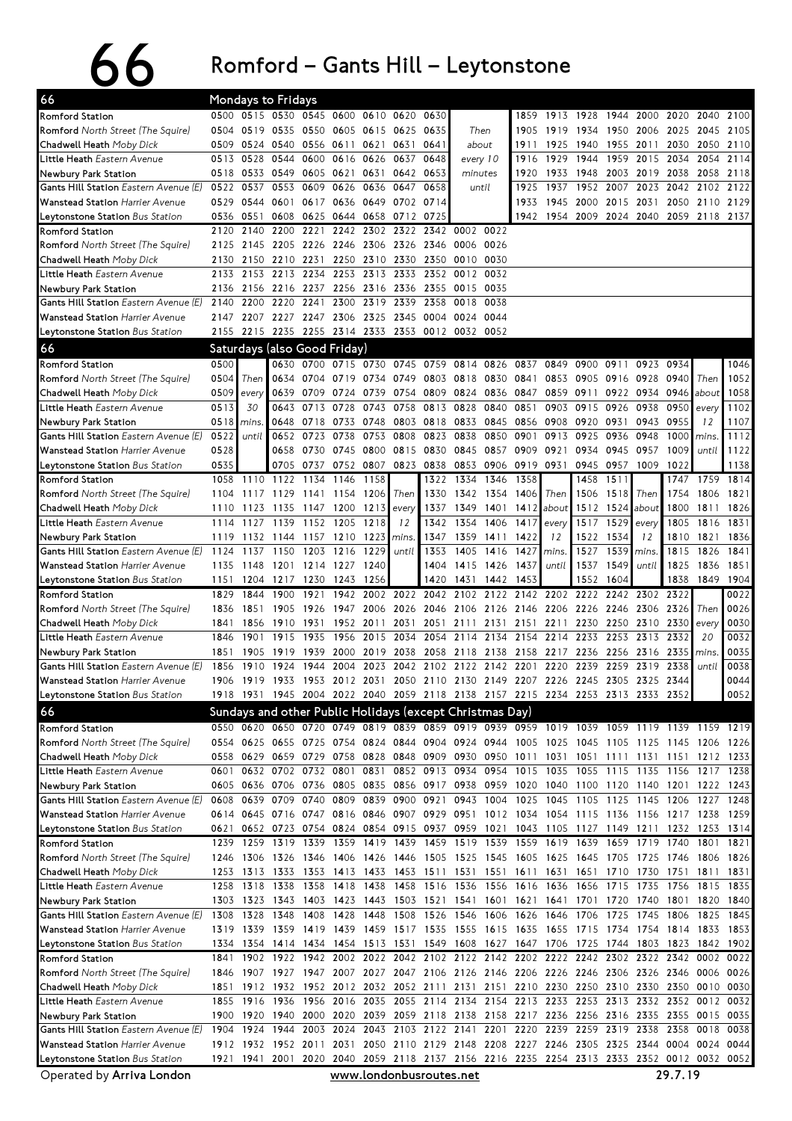## 66 Romford – Gants Hill – Leytonstone

| 66                                                               |              |                             | <b>Mondays to Fridays</b>                                |                |              |                         |                                                      |              |                               |              |                   |           |                                                        |              |                                                                                           |              |                   |              |
|------------------------------------------------------------------|--------------|-----------------------------|----------------------------------------------------------|----------------|--------------|-------------------------|------------------------------------------------------|--------------|-------------------------------|--------------|-------------------|-----------|--------------------------------------------------------|--------------|-------------------------------------------------------------------------------------------|--------------|-------------------|--------------|
| Romford Station                                                  |              |                             | 0500 0515 0530 0545 0600 0610                            |                |              |                         | 0620                                                 | 0630         |                               |              | 1859              | 1913      | 1928                                                   | 1944         | 2000                                                                                      | 2020         | 2040              | 2100         |
| <b>Romford</b> North Street (The Squire)                         | 0504         |                             | 0519 0535                                                | 0550           |              | 0605 0615               | 0625                                                 | 0635         | Then                          |              | 1905              | 1919      | 1934                                                   | 1950         | 2006 2025                                                                                 |              | 2045              | 2105         |
| <b>Chadwell Heath</b> Moby Dick                                  | 0509         |                             | 0524 0540                                                | 0556 0611 0621 |              |                         | 0631                                                 | 0641         | about                         |              | 1911              | 1925      | 1940                                                   |              | 1955 2011                                                                                 | 2030         | 2050              | 2110         |
| <b>Little Heath</b> Eastern Avenue                               | 0513         | 0528                        | 0544                                                     | 0600           |              | 0616 0626               | 0637                                                 | 0648         | every 10                      |              | 1916              | 1929      | 1944                                                   | 1959         | 2015 2034                                                                                 |              | 2054              | 2114         |
| Newbury Park Station                                             | 0518         |                             | 0533 0549                                                | 0605           | 0621         | 0631                    | 0642                                                 | 0653         | minutes                       |              | 1920              | 1933      | 1948                                                   | 2003         | 2019 2038                                                                                 |              | 2058              | 2118         |
| Gants Hill Station Eastern Avenue (E)                            | 0522         | 0537                        | 0553                                                     | 0609           | 0626         | 0636                    | 0647                                                 | 0658         |                               | until        | 1925              | 1937      | 1952                                                   | 2007         | 2023                                                                                      | 2042         | 2102              | 2122         |
| <b>Wanstead Station</b> Harrier Avenue                           | 0529         | 0544                        | 0601                                                     | 0617           |              | 0636 0649 0702          |                                                      | 0714         |                               |              | 1933              | 1945      | 2000                                                   | 2015         | 2031                                                                                      | 2050         | 2110              | 2129         |
| <b>Leytonstone Station</b> Bus Station<br><b>Romford Station</b> | 2120         | 0536 0551<br>2140           | 0608<br>2200                                             | 0625<br>2221   | 2242         |                         | 0644 0658 0712 0725<br>2302 2322                     |              | 2342 0002                     | 0022         |                   |           |                                                        |              | 1942 1954 2009 2024 2040 2059 2118 2137                                                   |              |                   |              |
| Romford North Street (The Squire)                                | 2125         |                             | 2145 2205                                                | 2226           |              |                         |                                                      |              | 2246 2306 2326 2346 0006 0026 |              |                   |           |                                                        |              |                                                                                           |              |                   |              |
| Chadwell Heath Moby Dick                                         | 2130         |                             | 2150 2210                                                | 2231           |              | 2250 2310               | 2330                                                 |              | 2350 0010                     | 0030         |                   |           |                                                        |              |                                                                                           |              |                   |              |
| Little Heath Eastern Avenue                                      | 2133         |                             | 2153 2213                                                | 2234           |              | 2253 2313               | 2333                                                 |              | 2352 0012                     | 0032         |                   |           |                                                        |              |                                                                                           |              |                   |              |
| Newbury Park Station                                             | 2136         |                             | 2156 2216 2237                                           |                |              | 2256 2316 2336          |                                                      | 2355         | 0015                          | 0035         |                   |           |                                                        |              |                                                                                           |              |                   |              |
| Gants Hill Station Eastern Avenue (E)                            | 2140         | 2200                        | 2220                                                     | 2241           | 2300         | 2319                    | 2339                                                 | 2358         | 0018                          | 0038         |                   |           |                                                        |              |                                                                                           |              |                   |              |
| Wanstead Station Harrier Avenue                                  | 2147         | 2207                        |                                                          | 2227 2247      |              | 2306 2325               | 2345                                                 | 0004 0024    |                               | 0044         |                   |           |                                                        |              |                                                                                           |              |                   |              |
| <b>Leytonstone Station</b> Bus Station                           | 2155         |                             | 2215 2235 2255 2314 2333 2353 0012 0032 0052             |                |              |                         |                                                      |              |                               |              |                   |           |                                                        |              |                                                                                           |              |                   |              |
| 66                                                               |              |                             | Saturdays (also Good Friday)                             |                |              |                         |                                                      |              |                               |              |                   |           |                                                        |              |                                                                                           |              |                   |              |
| <b>Romford Station</b>                                           | 0500         |                             |                                                          | 0630 0700      |              | 0715 0730 0745          |                                                      | 0759         | 0814                          | 0826         | 0837              | 0849      | 0900                                                   | 0911         | 0923                                                                                      | 0934         |                   | 1046         |
| Romford North Street (The Squire)                                | 0504         | Then                        | 0634                                                     | 0704           | 0719         | 0734                    | 0749                                                 |              | 0803 0818                     | 0830         | 0841              | 0853      | 0905                                                   | 0916         |                                                                                           | 0928 0940    | Then              | 1052         |
| Chadwell Heath Moby Dick                                         | 0509         | every                       | 0639                                                     | 0709           | 0724         | 0739                    | 0754                                                 | 0809         | 0824                          | 0836         | 0847              | 0859      | 0911                                                   | 0922         | 0934                                                                                      | 0946 about   |                   | 1058         |
| L <b>ittle Heath</b> Eastern Avenue                              | 0513         | 30                          | 0643                                                     | 0713           | 0728         | 0743                    | 0758                                                 | 0813         | 0828                          | 0840         | 0851              | 0903      | 0915                                                   | 0926         | 0938                                                                                      | 0950         | every             | 1102         |
| Newbury Park Station                                             | 0518         | mins                        | 0648                                                     | 0718           | 0733         | 0748                    | 0803                                                 | 0818 0833    |                               | 0845         | 0856              | 0908      | 0920                                                   | 0931         | 0943                                                                                      | 0955         | 12                | 1107         |
| Gants Hill Station Eastern Avenue (E)                            | 0522         | until                       | 0652                                                     | 0723           | 0738         | 0753                    | 0808                                                 | 0823 0838    |                               | 0850         | 0901              | 0913      | 0925                                                   | 0936         | 0948                                                                                      | 1000         | <i>mins</i>       | 1112         |
| Wanstead Station Harrier Avenue                                  | 0528         |                             | 0658                                                     | 0730 0745 0800 |              |                         | 0815                                                 | 0830 0845    |                               |              | 0857 0909         | 0921      | 0934                                                   | 0945         | 0957                                                                                      | 1009         | until             | 1122         |
| Leytonstone Station Bus Station<br><b>Romford Station</b>        | 0535<br>1058 | 1110                        | 0705<br>1122                                             | 0737<br>1134   | 0752<br>1146 | 0807<br>1158            | 0823                                                 | 0838<br>1322 | 0853<br>1334                  | 0906<br>1346 | 0919 0931<br>1358 |           | 0945<br>1458                                           | 0957<br>1511 | 1009                                                                                      | 1022<br>1747 | 1759              | 1138<br>1814 |
| <b>Romford</b> North Street (The Squire)                         | 1104         | 1117                        | 1129                                                     | 1141           | 1154         | 1206                    | Then                                                 | 1330         | 1342                          | 1354         | 1406              | Then      | 1506                                                   | 1518         | Then                                                                                      | 1754         | 1806              | 1821         |
| Chadwell Heath <i>Moby Dick</i>                                  | 1110         | 1123                        | 1135                                                     | 1147           | 1200         | 1213                    | every                                                | 1337         | 1349                          | 1401         | 1412              | about     | 1512 1524                                              |              | about                                                                                     | 1800         | 1811              | 1826         |
| Little Heath Eastern Avenue                                      | 1114         | 1127                        | 1139                                                     | 1152           | 1205         | 1218                    | 12                                                   | 1342         | 1354                          | 1406         | 1417              | every     | 1517                                                   | 1529         | every                                                                                     | 1805         | 1816              | 1831         |
| Newbury Park Station                                             | 1119         | 1132                        | 1144                                                     | 1157 1210      |              | 1223                    | mins.                                                | 1347         | 1359                          | 1411         | 1422              | 12        | 1522                                                   | 1534         | 12                                                                                        | 1810         | 1821              | 1836         |
| Gants Hill Station Eastern Avenue (E)                            | 1124         | 1137                        | 1150                                                     | 1203           | 1216         | 1229                    | until                                                | 1353         | 1405                          | 1416         | 1427              | mins.     | 1527                                                   | 1539         | mins.                                                                                     | 1815         | 1826              | 1841         |
| Wanstead Station Harrier Avenue                                  | 1135         | 1148                        |                                                          | 1201 1214 1227 |              | 1240                    |                                                      |              | 1404 1415 1426                |              | 1437              | until     | 1537                                                   | 1549         | until                                                                                     | 1825         | 1836              | 1851         |
| <b>Leytonstone Station</b> Bus Station                           | 1151         |                             | 1204 1217                                                | 1230           | 1243         | 1256                    |                                                      |              | 1420 1431                     | 1442         | 1453              |           | 1552                                                   | 1604         |                                                                                           | 1838         | 1849              | 1904         |
| <b>Romford Station</b>                                           | 1829         | 1844                        | 1900                                                     | 1921           | 1942         | 2002                    | 2022 2042                                            |              | 2102                          | 2122         | 2142              |           | 2202 2222                                              | 2242         | 2302 2322                                                                                 |              |                   | 0022         |
| <b>Romford</b> North Street (The Squire)                         | 1836         | 1851                        | 1905                                                     | 1926           | 1947         | 2006                    | 2026                                                 |              | 2046 2106                     | 2126         | 2146 2206 2226    |           |                                                        | 2246         | 2306 2326                                                                                 |              | Then              | 0026         |
| Chadwell Heath Moby Dick                                         | 1841         | 1856                        | 1910                                                     | 1931           | 1952 2011    |                         | 2031                                                 |              | 2051 2111                     | 2131         | 2151              | 2211      | 2230                                                   | 2250         | 2310 2330                                                                                 |              | every             | 0030         |
| L <b>ittle Heath</b> Eastern Avenue                              | 1846         | 1901                        | 1915                                                     | 1935           | 1956         | 2015                    | 2034                                                 | 2054         | 2114                          | 2134         | 2154              | 2214      | 2233                                                   | 2253         | 2313 2332                                                                                 |              | 20                | 0032         |
| Newbury Park Station<br>Gants Hill Station Eastern Avenue (E)    | 1851<br>1856 | 1905<br>1910                | 1919<br>1924                                             | 1939<br>1944   | 2004         | 2000 2019<br>2023       | 2038<br>2042                                         | 2102         | 2058 2118<br>2122             | 2138<br>2142 | 2158 2217<br>2201 | 2220      | 2236<br>2239                                           | 2256<br>2259 | 2316 2335<br>2319                                                                         | 2338         | mins<br>until     | 0035<br>0038 |
| <b>Wanstead Station Harrier Avenue</b>                           | 1906         |                             |                                                          |                |              |                         |                                                      |              |                               |              |                   |           |                                                        |              | 1919 1933 1953 2012 2031 2050 2110 2130 2149 2207 2226 2245 2305 2325 2344                |              |                   | 0044         |
| <b>Leytonstone Station</b> Bus Station                           |              |                             |                                                          |                |              |                         |                                                      |              |                               |              |                   |           |                                                        |              | 1918 1931 1945 2004 2022 2040 2059 2118 2138 2157 2215 2234 2253 2313 2353 2352           |              |                   | 0052         |
| 66                                                               |              |                             | Sundays and other Public Holidays (except Christmas Day) |                |              |                         |                                                      |              |                               |              |                   |           |                                                        |              |                                                                                           |              |                   |              |
| <b>Romford Station</b>                                           |              |                             |                                                          |                |              |                         |                                                      |              |                               |              |                   |           |                                                        |              | 0550 0620 0650 0720 0749 0819 0839 0859 0919 0939 0959 1019 1039 1059 1119 1139 1159 1219 |              |                   |              |
| Romford North Street (The Squire)                                |              |                             |                                                          |                |              |                         |                                                      |              |                               |              |                   |           |                                                        |              | 0554 0625 0655 0725 0754 0824 0844 0904 0924 0944 1005 1025 1045 1105 1125 1145 1206 1226 |              |                   |              |
| <b>Chadwell Heath</b> Moby Dick                                  | 0558         |                             |                                                          |                |              |                         |                                                      |              |                               |              |                   |           |                                                        |              | 0629 0659 0729 0758 0828 0848 0909 0930 0950 1011 1031 1051 1111 1131 1151 1212 1233      |              |                   |              |
| L <b>ittle Heath</b> Eastern Avenue                              | 0601         |                             | 0632 0702 0732 0801 0831 0852 0913 0934                  |                |              |                         |                                                      |              |                               |              |                   |           |                                                        |              | 0954 1015 1035 1055 1115 1135 1156                                                        |              | 1217 1238         |              |
| Newbury Park Station                                             |              |                             | 0605 0636 0706 0736 0805 0835 0856 0917 0938             |                |              |                         |                                                      |              |                               |              |                   |           | 0959 1020 1040 1100 1120                               |              | 1140 1201 1222 1243                                                                       |              |                   |              |
| Gants Hill Station Eastern Avenue (E)                            | 0608         |                             | 0639 0709 0740                                           |                |              |                         | 0809 0839 0900 0921                                  |              | 0943                          |              |                   |           | 1004 1025 1045 1105 1125                               |              | 1145 1206                                                                                 |              | 1227              | 1248         |
| Wanstead Station Harrier Avenue                                  |              |                             |                                                          |                |              |                         |                                                      |              |                               |              |                   |           |                                                        |              | 0614 0645 0716 0747 0816 0846 0907 0929 0951 1012 1034 1054 1115 1136 1156 1217 1238 1259 |              |                   |              |
| Leytonstone Station Bus Station                                  | 0621         |                             |                                                          |                |              |                         |                                                      |              |                               |              |                   |           |                                                        |              | 0652 0723 0754 0824 0854 0915 0937 0959 1021 1043 1105 1127 1149 1211 1232 1253 1314      |              |                   |              |
| Romford Station                                                  |              |                             |                                                          |                |              |                         |                                                      |              |                               |              |                   |           |                                                        |              | 1239 1259 1319 1339 1359 1419 1439 1459 1519 1539 1559 1619 1639 1659 1719 1740           |              | 1801              | 1821         |
| <b>Romford</b> North Street (The Squire)                         |              |                             |                                                          |                |              |                         |                                                      |              |                               |              |                   |           |                                                        |              | 1246 1306 1326 1346 1406 1426 1446 1505 1525 1545 1605 1625 1645 1705 1725 1746           |              | 1806 1826         |              |
| Chadwell Heath Moby Dick                                         | 1253         | 1313                        | 1333                                                     | 1353           |              |                         | 1413 1433 1453 1511 1531<br>1418 1438 1458 1516 1536 |              |                               |              | 1551 1611         | 1631 1651 |                                                        | 1710         | 1730 1751<br>1556 1616 1636 1656 1715 1735 1756                                           |              | 1811              | 1831         |
| L <b>ittle Heath</b> Eastern Avenue<br>Newbury Park Station      |              | 1258 1318 1338<br>1303 1323 | 1343                                                     | 1358           |              |                         |                                                      |              |                               |              |                   |           | 1403 1423 1443 1503 1521 1541 1601 1621 1641 1701 1720 |              | 1740 1801                                                                                 |              | 1815 1835<br>1820 | 1840         |
| <b>Gants Hill Station</b> Eastern Avenue (E)                     |              | 1308 1328                   |                                                          | 1348 1408      | 1428         |                         | 1448 1508 1526 1546                                  |              |                               |              |                   |           | 1606 1626 1646 1706 1725                               |              | 1745 1806                                                                                 |              | 1825 1845         |              |
| Wanstead Station Harrier Avenue                                  |              |                             |                                                          |                |              |                         |                                                      |              |                               |              |                   |           |                                                        |              | 1319 1339 1359 1419 1439 1459 1517 1535 1555 1615 1635 1655 1715 1734 1754 1814           |              | 1833 1853         |              |
| Leytonstone Station Bus Station                                  |              |                             |                                                          |                |              |                         |                                                      |              |                               |              |                   |           |                                                        |              | 1334 1354 1414 1434 1454 1513 1531 1549 1608 1627 1647 1706 1725 1744 1803 1823           |              | 1842 1902         |              |
| <b>Romford Station</b>                                           | 1841         |                             |                                                          |                |              |                         |                                                      |              |                               |              |                   |           |                                                        |              | 1902 1922 1942 2002 2022 2042 2102 2122 2142 2202 2222 2242 2302 2322 2342 0002 0022      |              |                   |              |
| Romford North Street (The Squire)                                |              |                             |                                                          |                |              |                         |                                                      |              |                               |              |                   |           |                                                        |              | 1846 1907 1927 1947 2007 2027 2047 2106 2126 2146 2206 2226 2246 2306 2326 2346           |              | 0006 0026         |              |
| Chadwell Heath Moby Dick                                         | 1851         | 1912                        | 1932                                                     |                |              |                         |                                                      |              |                               |              |                   |           |                                                        |              | 1952 2012 2032 2052 2111 2131 2151 2210 2230 2250 2310 2330 2350 0010 0030                |              |                   |              |
| Little Heath Eastern Avenue                                      |              | 1855 1916                   | 1936                                                     | 1956           |              |                         |                                                      |              |                               |              |                   |           |                                                        |              | 2016 2035 2055 2114 2134 2154 2213 2233 2253 2313 2332 2352 0012                          |              |                   | 0032         |
| Newbury Park Station                                             |              | 1900 1920                   | 1940                                                     |                |              |                         |                                                      |              |                               |              |                   |           |                                                        |              | 2000 2020 2039 2059 2118 2138 2158 2217 2236 2256 2316 2335 2355                          |              | 0015 0035         |              |
| Gants Hill Station Eastern Avenue (E)                            |              | 1904 1924 1944              |                                                          |                |              |                         |                                                      |              |                               |              |                   |           |                                                        |              | 2003 2024 2043 2103 2122 2141 2201 2220 2239 2259 2319 2338 2358                          |              | 0018 0038         |              |
| Wanstead Station Harrier Avenue                                  |              |                             | 1912 1932 1952 2011                                      |                |              |                         |                                                      |              |                               |              |                   |           |                                                        |              | 2031 2050 2110 2129 2148 2208 2227 2246 2305 2325 2344 0004 0024                          |              |                   | 0044         |
| Leytonstone Station Bus Station                                  |              |                             |                                                          |                |              |                         |                                                      |              |                               |              |                   |           |                                                        |              | 1921 1941 2001 2020 2040 2059 2118 2137 2156 2216 2235 2254 2313 2333 2352 0012 0032 0052 |              |                   |              |
| Operated by Arriva London                                        |              |                             |                                                          |                |              | www.londonbusroutes.net |                                                      |              |                               |              |                   |           |                                                        |              |                                                                                           | 29.7.19      |                   |              |